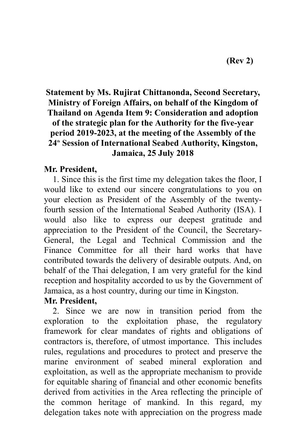## **Statement by Ms. Rujirat Chittanonda, Second Secretary, Ministry of Foreign Affairs, on behalf of the Kingdom of Thailand on Agenda Item 9: Consideration and adoption of the strategic plan for the Authority for the five-year period 2019-2023, at the meeting of the Assembly of the 24th Session of International Seabed Authority, Kingston, Jamaica, 25 July 2018**

## **Mr. President,**

1. Since this is the first time my delegation takes the floor, I would like to extend our sincere congratulations to you on your election as President of the Assembly of the twentyfourth session of the International Seabed Authority (ISA). I would also like to express our deepest gratitude and appreciation to the President of the Council, the Secretary-General, the Legal and Technical Commission and the Finance Committee for all their hard works that have contributed towards the delivery of desirable outputs. And, on behalf of the Thai delegation, I am very grateful for the kind reception and hospitality accorded to us by the Government of Jamaica, as a host country, during our time in Kingston.

## **Mr. President,**

2. Since we are now in transition period from the exploration to the exploitation phase, the regulatory framework for clear mandates of rights and obligations of contractors is, therefore, of utmost importance. This includes rules, regulations and procedures to protect and preserve the marine environment of seabed mineral exploration and exploitation, as well as the appropriate mechanism to provide for equitable sharing of financial and other economic benefits derived from activities in the Area reflecting the principle of the common heritage of mankind. In this regard, my delegation takes note with appreciation on the progress made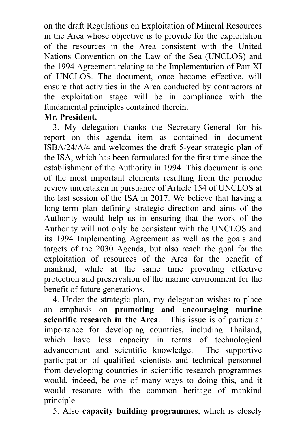on the draft Regulations on Exploitation of Mineral Resources in the Area whose objective is to provide for the exploitation of the resources in the Area consistent with the United Nations Convention on the Law of the Sea (UNCLOS) and the 1994 Agreement relating to the Implementation of Part XI of UNCLOS. The document, once become effective, will ensure that activities in the Area conducted by contractors at the exploitation stage will be in compliance with the fundamental principles contained therein.

## **Mr. President,**

3. My delegation thanks the Secretary-General for his report on this agenda item as contained in document ISBA/24/A/4 and welcomes the draft 5-year strategic plan of the ISA, which has been formulated for the first time since the establishment of the Authority in 1994. This document is one of the most important elements resulting from the periodic review undertaken in pursuance of Article 154 of UNCLOS at the last session of the ISA in 2017. We believe that having a long-term plan defining strategic direction and aims of the Authority would help us in ensuring that the work of the Authority will not only be consistent with the UNCLOS and its 1994 Implementing Agreement as well as the goals and targets of the 2030 Agenda, but also reach the goal for the exploitation of resources of the Area for the benefit of mankind, while at the same time providing effective protection and preservation of the marine environment for the benefit of future generations.

4. Under the strategic plan, my delegation wishes to place an emphasis on **promoting and encouraging marine scientific research in the Area**. This issue is of particular importance for developing countries, including Thailand, which have less capacity in terms of technological advancement and scientific knowledge. The supportive participation of qualified scientists and technical personnel from developing countries in scientific research programmes would, indeed, be one of many ways to doing this, and it would resonate with the common heritage of mankind principle.

5. Also **capacity building programmes**, which is closely